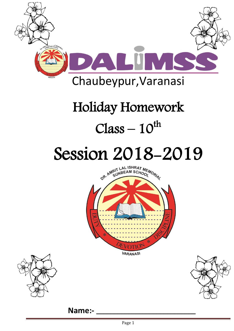

# Holiday Homework  $Class - 10<sup>th</sup>$

# Session 2018-2019







**Name:-**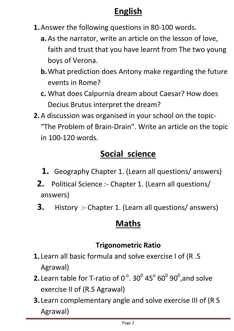### **English**

- **1.**Answer the following questions in 80-100 words.
	- **a.**As the narrator, write an article on the lesson of love, faith and trust that you have learnt from The two young boys of Verona.
	- **b.**What prediction does Antony make regarding the future events in Rome?
	- **c.** What does Calpurnia dream about Caesar? How does Decius Brutus interpret the dream?
- **2.**A discussion was organised in your school on the topic- "The Problem of Brain-Drain". Write an article on the topic in 100-120 words.

# **Social science**

- **1.** Geography Chapter 1. (Learn all questions/ answers)
- **2.** Political Science :- Chapter 1. (Learn all questions/ answers)
- **3.** History :- Chapter 1. (Learn all questions/ answers)

#### **Maths**

#### **Trigonometric Ratio**

- **1.** Learn all basic formula and solve exercise I of (R .S Agrawal)
- **2.** Learn table for T-ratio of  $0^{\circ}$ . 30 $^0$  45 $^{\circ}$  60 $^0$  90 $^0$ ,and solve exercise II of (R.S Agrawal)
- **3.** Learn complementary angle and solve exercise III of (R S Agrawal)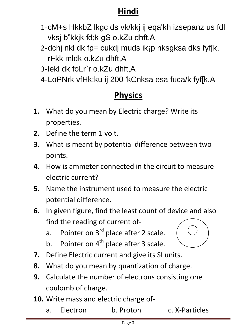#### **Hindi**

- 1-cM+s HkkbZ lkgc ds vk/kkj ij eqa'kh izsepanz us fdl vksj b"kkjk fd;k gS o.kZu dhft,A
- 2-dchj nkl dk fp= cukdj muds ikjp nksgksa dks fyf[k, rFkk mldk o.kZu dhft,A
- 3-lekl dk foLr`r o.kZu dhft,A
- 4-LoPNrk vfHk;ku ij 200 'kCnksa esa fuca/k fyf[k,A

# **Physics**

- **1.** What do you mean by Electric charge? Write its properties.
- **2.** Define the term 1 volt.
- **3.** What is meant by potential difference between two points.
- **4.** How is ammeter connected in the circuit to measure electric current?
- **5.** Name the instrument used to measure the electric potential difference.
- **6.** In given figure, find the least count of device and also find the reading of current of
	- a. Pointer on  $3^{rd}$  place after 2 scale.
	- b. Pointer on  $4^{th}$  place after 3 scale.
- **7.** Define Electric current and give its SI units.
- **8.** What do you mean by quantization of charge.
- **9.** Calculate the number of electrons consisting one coulomb of charge.
- **10.** Write mass and electric charge of
	- a. Electron b. Proton c. X-Particles